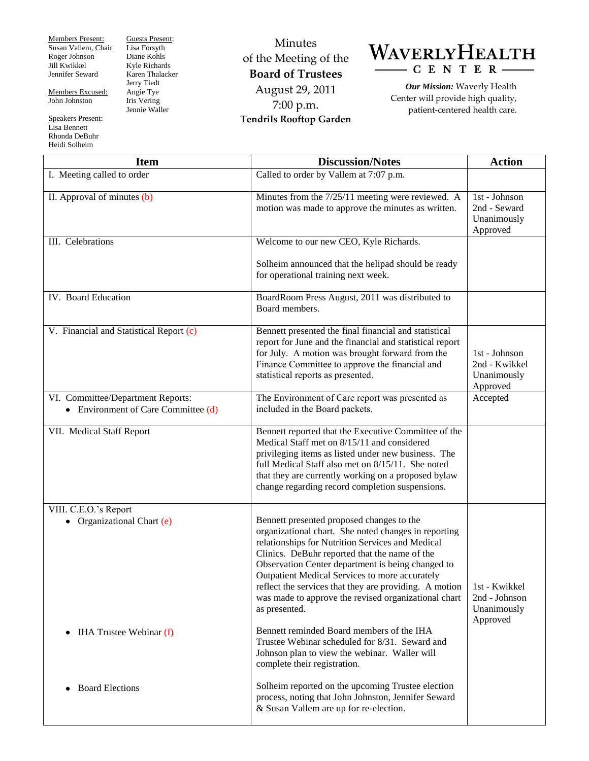Members Present: Susan Vallem, Chair Roger Johnson Jill Kwikkel Jennifer Seward

Members Excused: John Johnston

Speakers Present: Lisa Bennett Rhonda DeBuhr Heidi Solheim

Guests Present: Lisa Forsyth Diane Kohls Kyle Richards Karen Thalacker Jerry Tiedt Angie Tye Iris Vering Jennie Waller

Minutes of the Meeting of the **Board of Trustees** August 29, 2011 7:00 p.m. **Tendrils Rooftop Garden**



*Our Mission:* Waverly Health Center will provide high quality, patient-centered health care.

| <b>Item</b>                                                                | <b>Discussion/Notes</b>                                                                                                                                                                                                                                                                                                                                                                                                                                                                       | <b>Action</b>                                             |
|----------------------------------------------------------------------------|-----------------------------------------------------------------------------------------------------------------------------------------------------------------------------------------------------------------------------------------------------------------------------------------------------------------------------------------------------------------------------------------------------------------------------------------------------------------------------------------------|-----------------------------------------------------------|
| I. Meeting called to order                                                 | Called to order by Vallem at 7:07 p.m.                                                                                                                                                                                                                                                                                                                                                                                                                                                        |                                                           |
| II. Approval of minutes (b)                                                | Minutes from the 7/25/11 meeting were reviewed. A<br>motion was made to approve the minutes as written.                                                                                                                                                                                                                                                                                                                                                                                       | 1st - Johnson<br>2nd - Seward<br>Unanimously<br>Approved  |
| III. Celebrations                                                          | Welcome to our new CEO, Kyle Richards.                                                                                                                                                                                                                                                                                                                                                                                                                                                        |                                                           |
|                                                                            | Solheim announced that the helipad should be ready<br>for operational training next week.                                                                                                                                                                                                                                                                                                                                                                                                     |                                                           |
| IV. Board Education                                                        | BoardRoom Press August, 2011 was distributed to<br>Board members.                                                                                                                                                                                                                                                                                                                                                                                                                             |                                                           |
| V. Financial and Statistical Report (c)                                    | Bennett presented the final financial and statistical<br>report for June and the financial and statistical report<br>for July. A motion was brought forward from the<br>Finance Committee to approve the financial and<br>statistical reports as presented.                                                                                                                                                                                                                                   | 1st - Johnson<br>2nd - Kwikkel<br>Unanimously<br>Approved |
| VI. Committee/Department Reports:<br>• Environment of Care Committee $(d)$ | The Environment of Care report was presented as<br>included in the Board packets.                                                                                                                                                                                                                                                                                                                                                                                                             | Accepted                                                  |
| VII. Medical Staff Report                                                  | Bennett reported that the Executive Committee of the<br>Medical Staff met on 8/15/11 and considered<br>privileging items as listed under new business. The<br>full Medical Staff also met on 8/15/11. She noted<br>that they are currently working on a proposed bylaw<br>change regarding record completion suspensions.                                                                                                                                                                     |                                                           |
| VIII. C.E.O.'s Report<br>Organizational Chart (e)                          | Bennett presented proposed changes to the<br>organizational chart. She noted changes in reporting<br>relationships for Nutrition Services and Medical<br>Clinics. DeBuhr reported that the name of the<br>Observation Center department is being changed to<br>Outpatient Medical Services to more accurately<br>reflect the services that they are providing. A motion<br>was made to approve the revised organizational chart<br>as presented.<br>Bennett reminded Board members of the IHA | 1st - Kwikkel<br>2nd - Johnson<br>Unanimously<br>Approved |
| <b>IHA Trustee Webinar (f)</b><br>$\bullet$                                | Trustee Webinar scheduled for 8/31. Seward and<br>Johnson plan to view the webinar. Waller will<br>complete their registration.                                                                                                                                                                                                                                                                                                                                                               |                                                           |
| <b>Board Elections</b><br>٠                                                | Solheim reported on the upcoming Trustee election<br>process, noting that John Johnston, Jennifer Seward<br>& Susan Vallem are up for re-election.                                                                                                                                                                                                                                                                                                                                            |                                                           |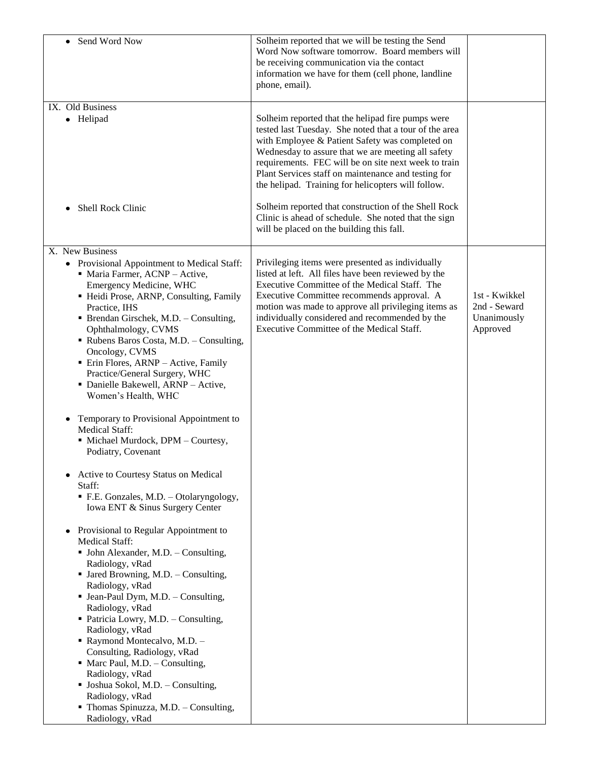| Send Word Now<br>٠                                                                                                                                                                                                                                                                                                                                                                                                                                                                                                                                                                                                                                                                                                                                                                                                                                                                                                                                                                                                                                                                                                                                                                                                                         | Solheim reported that we will be testing the Send<br>Word Now software tomorrow. Board members will<br>be receiving communication via the contact<br>information we have for them (cell phone, landline<br>phone, email).                                                                                                                                                                 |                                                          |
|--------------------------------------------------------------------------------------------------------------------------------------------------------------------------------------------------------------------------------------------------------------------------------------------------------------------------------------------------------------------------------------------------------------------------------------------------------------------------------------------------------------------------------------------------------------------------------------------------------------------------------------------------------------------------------------------------------------------------------------------------------------------------------------------------------------------------------------------------------------------------------------------------------------------------------------------------------------------------------------------------------------------------------------------------------------------------------------------------------------------------------------------------------------------------------------------------------------------------------------------|-------------------------------------------------------------------------------------------------------------------------------------------------------------------------------------------------------------------------------------------------------------------------------------------------------------------------------------------------------------------------------------------|----------------------------------------------------------|
| IX. Old Business<br>• Helipad                                                                                                                                                                                                                                                                                                                                                                                                                                                                                                                                                                                                                                                                                                                                                                                                                                                                                                                                                                                                                                                                                                                                                                                                              | Solheim reported that the helipad fire pumps were<br>tested last Tuesday. She noted that a tour of the area<br>with Employee & Patient Safety was completed on<br>Wednesday to assure that we are meeting all safety<br>requirements. FEC will be on site next week to train<br>Plant Services staff on maintenance and testing for<br>the helipad. Training for helicopters will follow. |                                                          |
| Shell Rock Clinic                                                                                                                                                                                                                                                                                                                                                                                                                                                                                                                                                                                                                                                                                                                                                                                                                                                                                                                                                                                                                                                                                                                                                                                                                          | Solheim reported that construction of the Shell Rock<br>Clinic is ahead of schedule. She noted that the sign<br>will be placed on the building this fall.                                                                                                                                                                                                                                 |                                                          |
| X. New Business<br>Provisional Appointment to Medical Staff:<br>$\bullet$<br>• Maria Farmer, ACNP - Active,<br>Emergency Medicine, WHC<br>• Heidi Prose, ARNP, Consulting, Family<br>Practice, IHS<br>• Brendan Girschek, M.D. - Consulting,<br>Ophthalmology, CVMS<br>Rubens Baros Costa, M.D. - Consulting,<br>Oncology, CVMS<br>• Erin Flores, ARNP - Active, Family<br>Practice/General Surgery, WHC<br>• Danielle Bakewell, ARNP - Active,<br>Women's Health, WHC<br>Temporary to Provisional Appointment to<br>٠<br><b>Medical Staff:</b><br>• Michael Murdock, DPM - Courtesy,<br>Podiatry, Covenant<br>Active to Courtesy Status on Medical<br>Staff:<br>• F.E. Gonzales, M.D. - Otolaryngology,<br>Iowa ENT & Sinus Surgery Center<br>Provisional to Regular Appointment to<br>Medical Staff:<br>• John Alexander, M.D. - Consulting,<br>Radiology, vRad<br>• Jared Browning, M.D. - Consulting,<br>Radiology, vRad<br>• Jean-Paul Dym, M.D. - Consulting,<br>Radiology, vRad<br>• Patricia Lowry, M.D. - Consulting,<br>Radiology, vRad<br>Raymond Montecalvo, M.D. -<br>Consulting, Radiology, vRad<br>$\blacksquare$ Marc Paul, M.D. - Consulting,<br>Radiology, vRad<br>• Joshua Sokol, M.D. - Consulting,<br>Radiology, vRad | Privileging items were presented as individually<br>listed at left. All files have been reviewed by the<br>Executive Committee of the Medical Staff. The<br>Executive Committee recommends approval. A<br>motion was made to approve all privileging items as<br>individually considered and recommended by the<br>Executive Committee of the Medical Staff.                              | 1st - Kwikkel<br>2nd - Seward<br>Unanimously<br>Approved |
| • Thomas Spinuzza, M.D. - Consulting,<br>Radiology, vRad                                                                                                                                                                                                                                                                                                                                                                                                                                                                                                                                                                                                                                                                                                                                                                                                                                                                                                                                                                                                                                                                                                                                                                                   |                                                                                                                                                                                                                                                                                                                                                                                           |                                                          |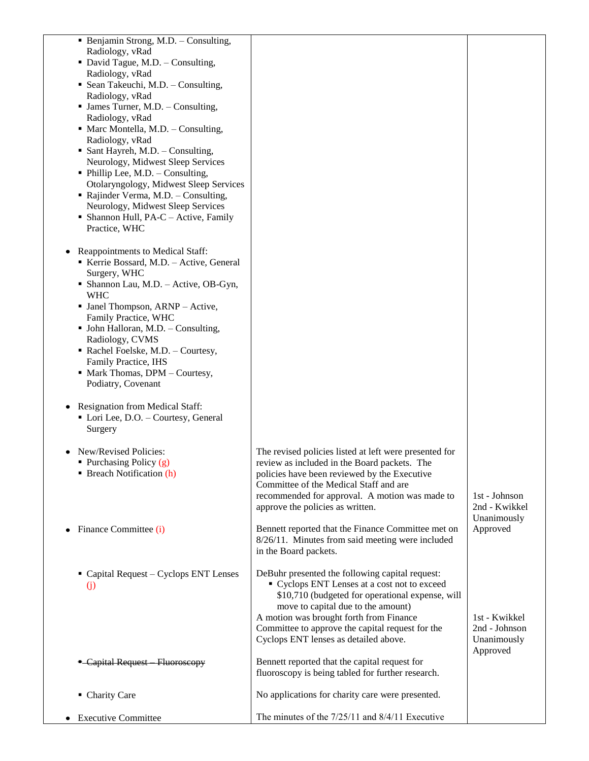| • Benjamin Strong, M.D. - Consulting,<br>Radiology, vRad<br>• David Tague, M.D. - Consulting,<br>Radiology, vRad<br>• Sean Takeuchi, M.D. - Consulting,<br>Radiology, vRad<br>• James Turner, M.D. - Consulting,<br>Radiology, vRad<br>• Marc Montella, M.D. - Consulting,<br>Radiology, vRad<br>• Sant Hayreh, M.D. - Consulting,<br>Neurology, Midwest Sleep Services<br>• Phillip Lee, M.D. - Consulting,<br>Otolaryngology, Midwest Sleep Services<br>• Rajinder Verma, M.D. - Consulting,<br>Neurology, Midwest Sleep Services<br>• Shannon Hull, PA-C – Active, Family<br>Practice, WHC<br>Reappointments to Medical Staff:<br>Kerrie Bossard, M.D. - Active, General<br>Surgery, WHC<br>• Shannon Lau, M.D. - Active, OB-Gyn,<br><b>WHC</b><br>• Janel Thompson, ARNP - Active,<br>Family Practice, WHC |                                                                                                                                                                                                                                                                                                                                   |                                                           |
|----------------------------------------------------------------------------------------------------------------------------------------------------------------------------------------------------------------------------------------------------------------------------------------------------------------------------------------------------------------------------------------------------------------------------------------------------------------------------------------------------------------------------------------------------------------------------------------------------------------------------------------------------------------------------------------------------------------------------------------------------------------------------------------------------------------|-----------------------------------------------------------------------------------------------------------------------------------------------------------------------------------------------------------------------------------------------------------------------------------------------------------------------------------|-----------------------------------------------------------|
| • John Halloran, M.D. - Consulting,                                                                                                                                                                                                                                                                                                                                                                                                                                                                                                                                                                                                                                                                                                                                                                            |                                                                                                                                                                                                                                                                                                                                   |                                                           |
| Radiology, CVMS<br>Rachel Foelske, M.D. - Courtesy,                                                                                                                                                                                                                                                                                                                                                                                                                                                                                                                                                                                                                                                                                                                                                            |                                                                                                                                                                                                                                                                                                                                   |                                                           |
| Family Practice, IHS                                                                                                                                                                                                                                                                                                                                                                                                                                                                                                                                                                                                                                                                                                                                                                                           |                                                                                                                                                                                                                                                                                                                                   |                                                           |
| • Mark Thomas, DPM - Courtesy,                                                                                                                                                                                                                                                                                                                                                                                                                                                                                                                                                                                                                                                                                                                                                                                 |                                                                                                                                                                                                                                                                                                                                   |                                                           |
| Podiatry, Covenant                                                                                                                                                                                                                                                                                                                                                                                                                                                                                                                                                                                                                                                                                                                                                                                             |                                                                                                                                                                                                                                                                                                                                   |                                                           |
| Resignation from Medical Staff:<br>• Lori Lee, D.O. - Courtesy, General<br>Surgery                                                                                                                                                                                                                                                                                                                                                                                                                                                                                                                                                                                                                                                                                                                             |                                                                                                                                                                                                                                                                                                                                   |                                                           |
| • New/Revised Policies:                                                                                                                                                                                                                                                                                                                                                                                                                                                                                                                                                                                                                                                                                                                                                                                        | The revised policies listed at left were presented for                                                                                                                                                                                                                                                                            |                                                           |
| Purchasing Policy (g)<br><b>Breach Notification (h)</b>                                                                                                                                                                                                                                                                                                                                                                                                                                                                                                                                                                                                                                                                                                                                                        | review as included in the Board packets. The<br>policies have been reviewed by the Executive<br>Committee of the Medical Staff and are<br>recommended for approval. A motion was made to<br>approve the policies as written.                                                                                                      | 1st - Johnson<br>2nd - Kwikkel<br>Unanimously             |
| Finance Committee (i)                                                                                                                                                                                                                                                                                                                                                                                                                                                                                                                                                                                                                                                                                                                                                                                          | Bennett reported that the Finance Committee met on<br>8/26/11. Minutes from said meeting were included<br>in the Board packets.                                                                                                                                                                                                   | Approved                                                  |
| $\blacksquare$ Capital Request – Cyclops ENT Lenses<br>(j)                                                                                                                                                                                                                                                                                                                                                                                                                                                                                                                                                                                                                                                                                                                                                     | DeBuhr presented the following capital request:<br>• Cyclops ENT Lenses at a cost not to exceed<br>\$10,710 (budgeted for operational expense, will<br>move to capital due to the amount)<br>A motion was brought forth from Finance<br>Committee to approve the capital request for the<br>Cyclops ENT lenses as detailed above. | 1st - Kwikkel<br>2nd - Johnson<br>Unanimously<br>Approved |
| - Capital Request Fluoroscopy                                                                                                                                                                                                                                                                                                                                                                                                                                                                                                                                                                                                                                                                                                                                                                                  | Bennett reported that the capital request for<br>fluoroscopy is being tabled for further research.                                                                                                                                                                                                                                |                                                           |
| • Charity Care                                                                                                                                                                                                                                                                                                                                                                                                                                                                                                                                                                                                                                                                                                                                                                                                 | No applications for charity care were presented.                                                                                                                                                                                                                                                                                  |                                                           |
| <b>Executive Committee</b>                                                                                                                                                                                                                                                                                                                                                                                                                                                                                                                                                                                                                                                                                                                                                                                     | The minutes of the $7/25/11$ and $8/4/11$ Executive                                                                                                                                                                                                                                                                               |                                                           |